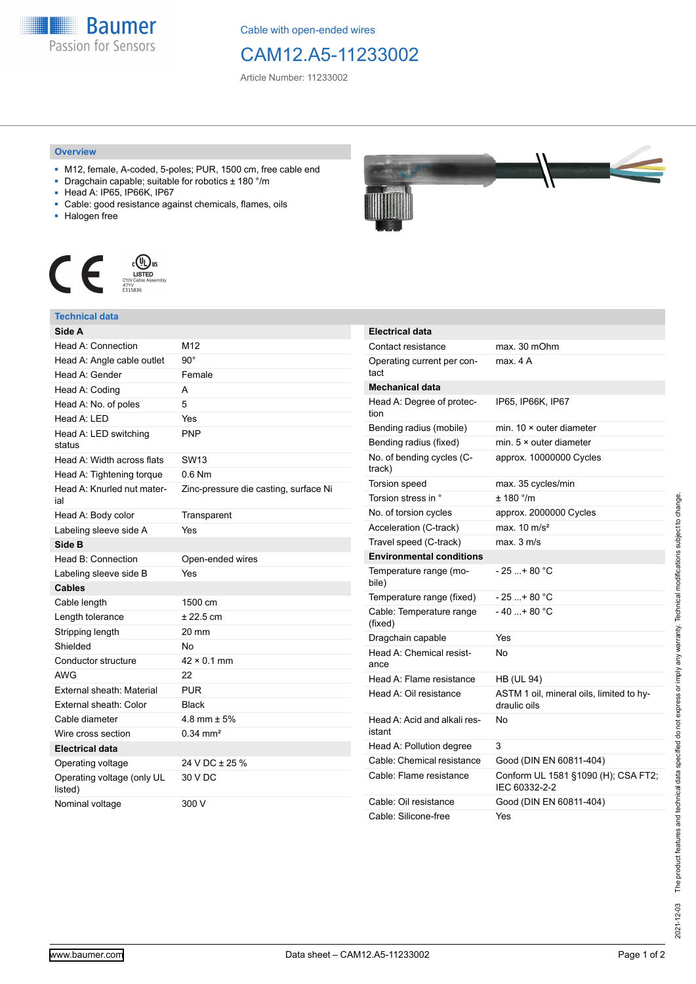

Cable with open-ended wires

# CAM12.A5-11233002

Article Number: 11233002

### **Overview**

- M12, female, A-coded, 5-poles; PUR, 1500 cm, free cable end
- Dragchain capable; suitable for robotics ± 180 °/m
- Head A: IP65, IP66K, IP67
- Cable: good resistance against chemicals, flames, oils
- Halogen free



## **Technical data**

| Side A                                |                                       |  |  |
|---------------------------------------|---------------------------------------|--|--|
| Head A: Connection                    | M12                                   |  |  |
| Head A: Angle cable outlet            | $90^\circ$                            |  |  |
| Head A: Gender                        | Female                                |  |  |
| Head A: Coding                        | A                                     |  |  |
| Head A: No. of poles                  | 5                                     |  |  |
| Head A: LED                           | Yes                                   |  |  |
| Head A: LED switching<br>status       | <b>PNP</b>                            |  |  |
| Head A: Width across flats            | SW <sub>13</sub>                      |  |  |
| Head A: Tightening torque             | $0.6$ Nm                              |  |  |
| Head A: Knurled nut mater-<br>ial     | Zinc-pressure die casting, surface Ni |  |  |
| Head A: Body color                    | Transparent                           |  |  |
| Labeling sleeve side A                | Yes                                   |  |  |
| Side B                                |                                       |  |  |
| Head B: Connection                    | Open-ended wires                      |  |  |
| Labeling sleeve side B                | Yes                                   |  |  |
| <b>Cables</b>                         |                                       |  |  |
| Cable length                          | 1500 cm                               |  |  |
| Length tolerance                      | ± 22.5 cm                             |  |  |
| Stripping length                      | $20 \text{ mm}$                       |  |  |
| Shielded                              | No                                    |  |  |
| Conductor structure                   | $42 \times 0.1$ mm                    |  |  |
| <b>AWG</b>                            | 22                                    |  |  |
| External sheath: Material             | <b>PUR</b>                            |  |  |
| External sheath: Color                | <b>Black</b>                          |  |  |
| Cable diameter                        | 4.8 mm $\pm$ 5%                       |  |  |
| Wire cross section                    | $0.34 \, \text{mm}^2$                 |  |  |
| <b>Electrical data</b>                |                                       |  |  |
| Operating voltage                     | 24 V DC ± 25 %                        |  |  |
| Operating voltage (only UL<br>listed) | 30 V DC                               |  |  |
| Nominal voltage                       | 300 V                                 |  |  |



| <b>Electrical data</b>                 |                                                          |  |  |
|----------------------------------------|----------------------------------------------------------|--|--|
| Contact resistance                     | max. 30 mOhm                                             |  |  |
| Operating current per con-<br>tact     | max. 4 A                                                 |  |  |
| <b>Mechanical data</b>                 |                                                          |  |  |
| Head A: Degree of protec-<br>tion      | IP65, IP66K, IP67                                        |  |  |
| Bending radius (mobile)                | min. $10 \times$ outer diameter                          |  |  |
| Bending radius (fixed)                 | min. $5 \times$ outer diameter                           |  |  |
| No. of bending cycles (C-<br>track)    | approx. 10000000 Cycles                                  |  |  |
| Torsion speed                          | max. 35 cycles/min                                       |  |  |
| Torsion stress in °                    | $± 180$ °/m                                              |  |  |
| No. of torsion cycles                  | approx. 2000000 Cycles                                   |  |  |
| Acceleration (C-track)                 | max. $10 \text{ m/s}^2$                                  |  |  |
| Travel speed (C-track)                 | max. 3 m/s                                               |  |  |
| <b>Environmental conditions</b>        |                                                          |  |  |
| Temperature range (mo-<br>bile)        | - 25 + 80 °C                                             |  |  |
| Temperature range (fixed)              | $-25+80 °C$                                              |  |  |
| Cable: Temperature range<br>(fixed)    | $-40+80 °C$                                              |  |  |
| Dragchain capable                      | Yes                                                      |  |  |
| Head A: Chemical resist-<br>ance       | No                                                       |  |  |
| Head A: Flame resistance               | <b>HB (UL 94)</b>                                        |  |  |
| Head A: Oil resistance                 | ASTM 1 oil, mineral oils, limited to hy-<br>draulic oils |  |  |
| Head A: Acid and alkali res-<br>istant | N٥                                                       |  |  |
| Head A: Pollution degree               | 3                                                        |  |  |
| Cable: Chemical resistance             | Good (DIN EN 60811-404)                                  |  |  |
| Cable: Flame resistance                | Conform UL 1581 §1090 (H); CSA FT2;<br>IEC 60332-2-2     |  |  |
| Cable: Oil resistance                  | Good (DIN EN 60811-404)                                  |  |  |
| Cable: Silicone-free                   | Yes                                                      |  |  |